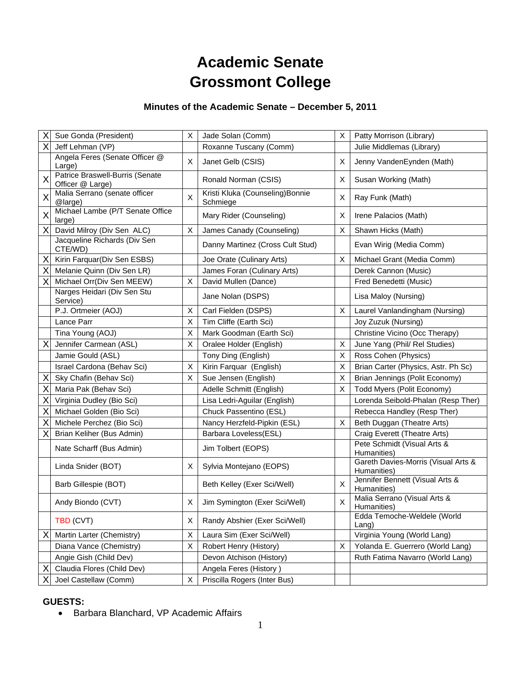# **Academic Senate Grossmont College**

# **Minutes of the Academic Senate – December 5, 2011**

| Χ | Sue Gonda (President)                               | X | Jade Solan (Comm)                            | X | Patty Morrison (Library)                           |
|---|-----------------------------------------------------|---|----------------------------------------------|---|----------------------------------------------------|
| X | Jeff Lehman (VP)                                    |   | Roxanne Tuscany (Comm)                       |   | Julie Middlemas (Library)                          |
|   | Angela Feres (Senate Officer @<br>Large)            | X | Janet Gelb (CSIS)                            | X | Jenny VandenEynden (Math)                          |
| X | Patrice Braswell-Burris (Senate<br>Officer @ Large) |   | Ronald Norman (CSIS)                         | Χ | Susan Working (Math)                               |
| X | Malia Serrano (senate officer<br>@large)            | X | Kristi Kluka (Counseling) Bonnie<br>Schmiege | X | Ray Funk (Math)                                    |
| X | Michael Lambe (P/T Senate Office<br>large)          |   | Mary Rider (Counseling)                      | X | Irene Palacios (Math)                              |
| X | David Milroy (Div Sen ALC)                          | X | James Canady (Counseling)                    | Χ | Shawn Hicks (Math)                                 |
|   | Jacqueline Richards (Div Sen<br>CTE/WD)             |   | Danny Martinez (Cross Cult Stud)             |   | Evan Wirig (Media Comm)                            |
| X | Kirin Farquar(Div Sen ESBS)                         |   | Joe Orate (Culinary Arts)                    | Χ | Michael Grant (Media Comm)                         |
| X | Melanie Quinn (Div Sen LR)                          |   | James Foran (Culinary Arts)                  |   | Derek Cannon (Music)                               |
| Χ | Michael Orr(Div Sen MEEW)                           | X | David Mullen (Dance)                         |   | Fred Benedetti (Music)                             |
|   | Narges Heidari (Div Sen Stu<br>Service)             |   | Jane Nolan (DSPS)                            |   | Lisa Maloy (Nursing)                               |
|   | P.J. Ortmeier (AOJ)                                 | X | Carl Fielden (DSPS)                          | X | Laurel Vanlandingham (Nursing)                     |
|   | Lance Parr                                          | X | Tim Cliffe (Earth Sci)                       |   | Joy Zuzuk (Nursing)                                |
|   | Tina Young (AOJ)                                    | X | Mark Goodman (Earth Sci)                     |   | Christine Vicino (Occ Therapy)                     |
| X | Jennifer Carmean (ASL)                              | X | Oralee Holder (English)                      | X | June Yang (Phil/ Rel Studies)                      |
|   | Jamie Gould (ASL)                                   |   | Tony Ding (English)                          | X | Ross Cohen (Physics)                               |
|   | Israel Cardona (Behav Sci)                          | X | Kirin Farquar (English)                      | X | Brian Carter (Physics, Astr. Ph Sc)                |
| X | Sky Chafin (Behav Sci)                              | X | Sue Jensen (English)                         | X | Brian Jennings (Polit Economy)                     |
| X | Maria Pak (Behav Sci)                               |   | Adelle Schmitt (English)                     | Χ | Todd Myers (Polit Economy)                         |
| X | Virginia Dudley (Bio Sci)                           |   | Lisa Ledri-Aguilar (English)                 |   | Lorenda Seibold-Phalan (Resp Ther)                 |
| X | Michael Golden (Bio Sci)                            |   | Chuck Passentino (ESL)                       |   | Rebecca Handley (Resp Ther)                        |
| X | Michele Perchez (Bio Sci)                           |   | Nancy Herzfeld-Pipkin (ESL)                  | Χ | Beth Duggan (Theatre Arts)                         |
| X | Brian Keliher (Bus Admin)                           |   | Barbara Loveless(ESL)                        |   | Craig Everett (Theatre Arts)                       |
|   | Nate Scharff (Bus Admin)                            |   | Jim Tolbert (EOPS)                           |   | Pete Schmidt (Visual Arts &<br>Humanities)         |
|   | Linda Snider (BOT)                                  | X | Sylvia Montejano (EOPS)                      |   | Gareth Davies-Morris (Visual Arts &<br>Humanities) |
|   | Barb Gillespie (BOT)                                |   | Beth Kelley (Exer Sci/Well)                  | X | Jennifer Bennett (Visual Arts &<br>Humanities)     |
|   | Andy Biondo (CVT)                                   | X | Jim Symington (Exer Sci/Well)                | X | Malia Serrano (Visual Arts &<br>Humanities)        |
|   | TBD (CVT)                                           | X | Randy Abshier (Exer Sci/Well)                |   | Edda Temoche-Weldele (World<br>$L$ ang)            |
| X | Martin Larter (Chemistry)                           | X | Laura Sim (Exer Sci/Well)                    |   | Virginia Young (World Lang)                        |
|   | Diana Vance (Chemistry)                             | X | Robert Henry (History)                       | X | Yolanda E. Guerrero (World Lang)                   |
|   | Angie Gish (Child Dev)                              |   | Devon Atchison (History)                     |   | Ruth Fatima Navarro (World Lang)                   |
| Χ | Claudia Flores (Child Dev)                          |   | Angela Feres (History)                       |   |                                                    |
| Х | Joel Castellaw (Comm)                               | X | Priscilla Rogers (Inter Bus)                 |   |                                                    |

# **GUESTS:**

• Barbara Blanchard, VP Academic Affairs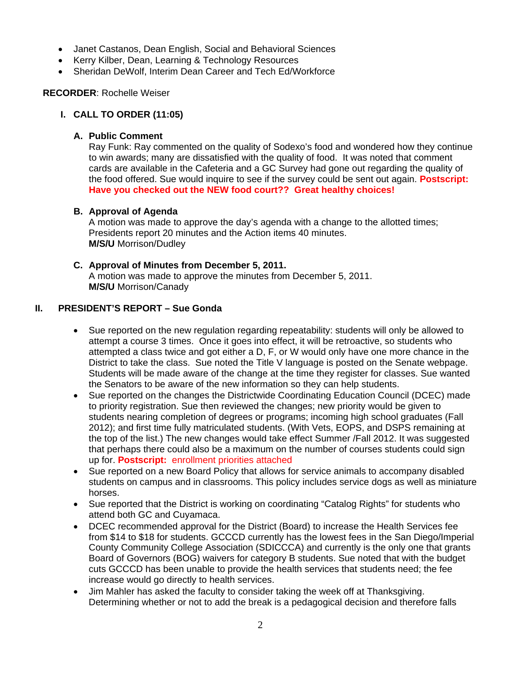- Janet Castanos, Dean English, Social and Behavioral Sciences
- Kerry Kilber, Dean, Learning & Technology Resources
- Sheridan DeWolf, Interim Dean Career and Tech Ed/Workforce

#### **RECORDER**: Rochelle Weiser

# **I. CALL TO ORDER (11:05)**

# **A. Public Comment**

Ray Funk: Ray commented on the quality of Sodexo's food and wondered how they continue to win awards; many are dissatisfied with the quality of food. It was noted that comment cards are available in the Cafeteria and a GC Survey had gone out regarding the quality of the food offered. Sue would inquire to see if the survey could be sent out again. **Postscript: Have you checked out the NEW food court?? Great healthy choices!** 

# **B. Approval of Agenda**

A motion was made to approve the day's agenda with a change to the allotted times; Presidents report 20 minutes and the Action items 40 minutes. **M/S/U** Morrison/Dudley

# **C. Approval of Minutes from December 5, 2011.**

A motion was made to approve the minutes from December 5, 2011. **M/S/U** Morrison/Canady

# **II. PRESIDENT'S REPORT – Sue Gonda**

- Sue reported on the new regulation regarding repeatability: students will only be allowed to attempt a course 3 times. Once it goes into effect, it will be retroactive, so students who attempted a class twice and got either a D, F, or W would only have one more chance in the District to take the class. Sue noted the Title V language is posted on the Senate webpage. Students will be made aware of the change at the time they register for classes. Sue wanted the Senators to be aware of the new information so they can help students.
- Sue reported on the changes the Districtwide Coordinating Education Council (DCEC) made to priority registration. Sue then reviewed the changes; new priority would be given to students nearing completion of degrees or programs; incoming high school graduates (Fall 2012); and first time fully matriculated students. (With Vets, EOPS, and DSPS remaining at the top of the list.) The new changes would take effect Summer /Fall 2012. It was suggested that perhaps there could also be a maximum on the number of courses students could sign up for. **Postscript:** enrollment priorities attached
- Sue reported on a new Board Policy that allows for service animals to accompany disabled students on campus and in classrooms. This policy includes service dogs as well as miniature horses.
- Sue reported that the District is working on coordinating "Catalog Rights" for students who attend both GC and Cuyamaca.
- DCEC recommended approval for the District (Board) to increase the Health Services fee from \$14 to \$18 for students. GCCCD currently has the lowest fees in the San Diego/Imperial County Community College Association (SDICCCA) and currently is the only one that grants Board of Governors (BOG) waivers for category B students. Sue noted that with the budget cuts GCCCD has been unable to provide the health services that students need; the fee increase would go directly to health services.
- Jim Mahler has asked the faculty to consider taking the week off at Thanksgiving. Determining whether or not to add the break is a pedagogical decision and therefore falls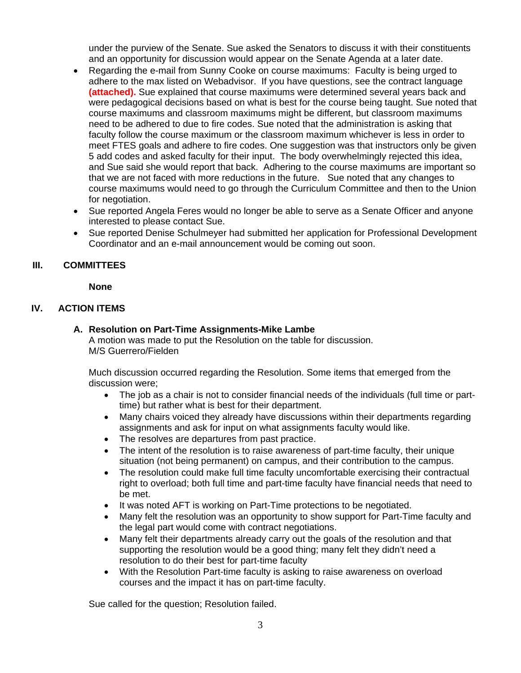under the purview of the Senate. Sue asked the Senators to discuss it with their constituents and an opportunity for discussion would appear on the Senate Agenda at a later date.

- Regarding the e-mail from Sunny Cooke on course maximums: Faculty is being urged to adhere to the max listed on Webadvisor. If you have questions, see the contract language **(attached).** Sue explained that course maximums were determined several years back and were pedagogical decisions based on what is best for the course being taught. Sue noted that course maximums and classroom maximums might be different, but classroom maximums need to be adhered to due to fire codes. Sue noted that the administration is asking that faculty follow the course maximum or the classroom maximum whichever is less in order to meet FTES goals and adhere to fire codes. One suggestion was that instructors only be given 5 add codes and asked faculty for their input. The body overwhelmingly rejected this idea, and Sue said she would report that back. Adhering to the course maximums are important so that we are not faced with more reductions in the future. Sue noted that any changes to course maximums would need to go through the Curriculum Committee and then to the Union for negotiation.
- Sue reported Angela Feres would no longer be able to serve as a Senate Officer and anyone interested to please contact Sue.
- Sue reported Denise Schulmeyer had submitted her application for Professional Development Coordinator and an e-mail announcement would be coming out soon.

# **III. COMMITTEES**

#### **None**

# **IV. ACTION ITEMS**

#### **A. Resolution on Part-Time Assignments-Mike Lambe**

A motion was made to put the Resolution on the table for discussion. M/S Guerrero/Fielden

Much discussion occurred regarding the Resolution. Some items that emerged from the discussion were;

- The job as a chair is not to consider financial needs of the individuals (full time or parttime) but rather what is best for their department.
- Many chairs voiced they already have discussions within their departments regarding assignments and ask for input on what assignments faculty would like.
- The resolves are departures from past practice.
- The intent of the resolution is to raise awareness of part-time faculty, their unique situation (not being permanent) on campus, and their contribution to the campus.
- The resolution could make full time faculty uncomfortable exercising their contractual right to overload; both full time and part-time faculty have financial needs that need to be met.
- It was noted AFT is working on Part-Time protections to be negotiated.
- Many felt the resolution was an opportunity to show support for Part-Time faculty and the legal part would come with contract negotiations.
- Many felt their departments already carry out the goals of the resolution and that supporting the resolution would be a good thing; many felt they didn't need a resolution to do their best for part-time faculty
- With the Resolution Part-time faculty is asking to raise awareness on overload courses and the impact it has on part-time faculty.

Sue called for the question; Resolution failed.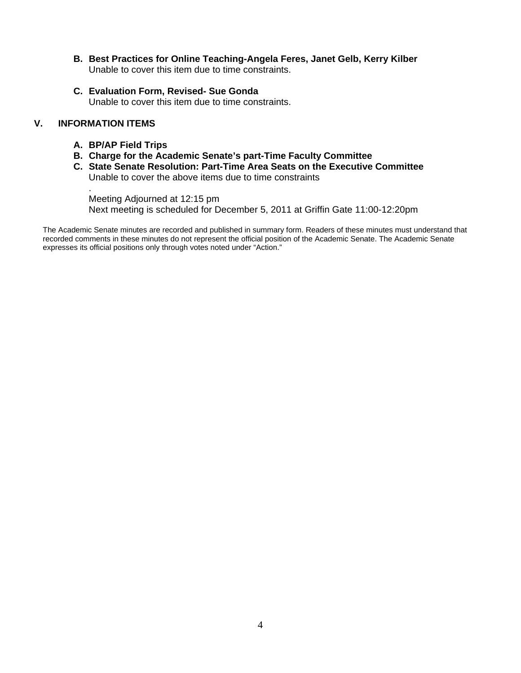- **B. Best Practices for Online Teaching-Angela Feres, Janet Gelb, Kerry Kilber** Unable to cover this item due to time constraints.
- **C. Evaluation Form, Revised- Sue Gonda** Unable to cover this item due to time constraints.

# **V. INFORMATION ITEMS**

.

- **A. BP/AP Field Trips**
- **B. Charge for the Academic Senate's part-Time Faculty Committee**
- **C. State Senate Resolution: Part-Time Area Seats on the Executive Committee** Unable to cover the above items due to time constraints

Meeting Adjourned at 12:15 pm Next meeting is scheduled for December 5, 2011 at Griffin Gate 11:00-12:20pm

The Academic Senate minutes are recorded and published in summary form. Readers of these minutes must understand that recorded comments in these minutes do not represent the official position of the Academic Senate. The Academic Senate expresses its official positions only through votes noted under "Action."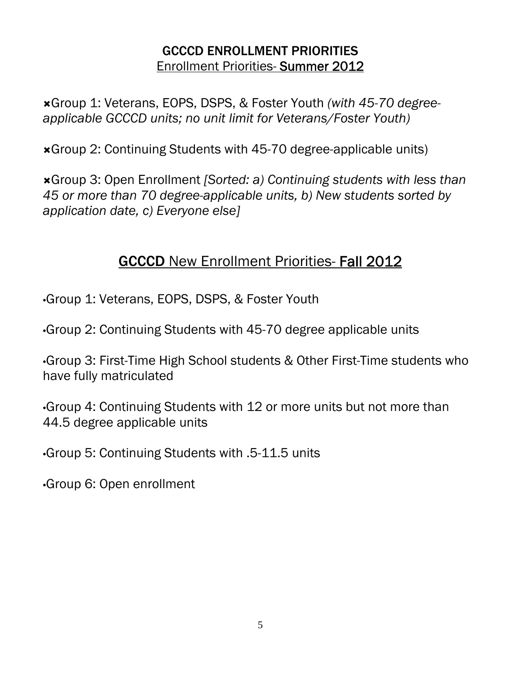# GCCCD ENROLLMENT PRIORITIES Enrollment Priorities- Summer 2012

Group 1: Veterans, EOPS, DSPS, & Foster Youth *(with 45-70 degreeapplicable GCCCD units; no unit limit for Veterans/Foster Youth)* 

Group 2: Continuing Students with 45-70 degree-applicable units)

Group 3: Open Enrollment *[Sorted: a) Continuing students with less than 45 or more than 70 degree-applicable units, b) New students sorted by application date, c) Everyone else]* 

# GCCCD New Enrollment Priorities- Fall 2012

•Group 1: Veterans, EOPS, DSPS, & Foster Youth

•Group 2: Continuing Students with 45-70 degree applicable units

•Group 3: First-Time High School students & Other First-Time students who have fully matriculated

•Group 4: Continuing Students with 12 or more units but not more than 44.5 degree applicable units

•Group 5: Continuing Students with .5-11.5 units

•Group 6: Open enrollment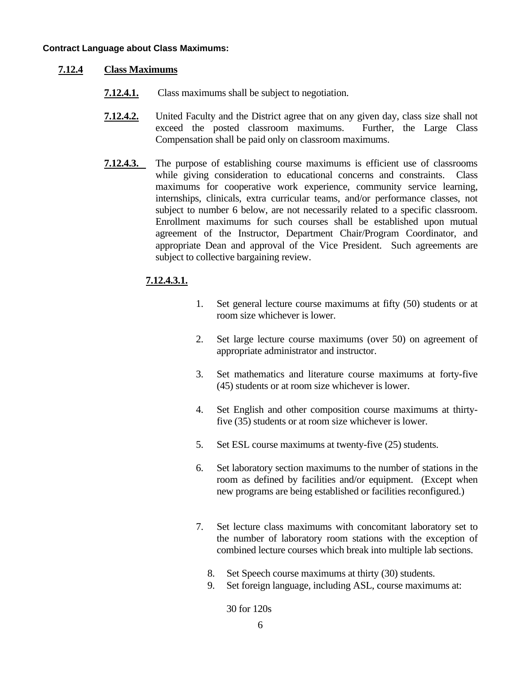#### **Contract Language about Class Maximums:**

# **7.12.4 Class Maximums**

- **7.12.4.1.** Class maximums shall be subject to negotiation.
- **7.12.4.2.** United Faculty and the District agree that on any given day, class size shall not exceed the posted classroom maximums. Further, the Large Class Compensation shall be paid only on classroom maximums.
- **7.12.4.3.** The purpose of establishing course maximums is efficient use of classrooms while giving consideration to educational concerns and constraints. Class maximums for cooperative work experience, community service learning, internships, clinicals, extra curricular teams, and/or performance classes, not subject to number 6 below, are not necessarily related to a specific classroom. Enrollment maximums for such courses shall be established upon mutual agreement of the Instructor, Department Chair/Program Coordinator, and appropriate Dean and approval of the Vice President. Such agreements are subject to collective bargaining review.

# **7.12.4.3.1.**

- 1. Set general lecture course maximums at fifty (50) students or at room size whichever is lower.
- 2. Set large lecture course maximums (over 50) on agreement of appropriate administrator and instructor.
- 3. Set mathematics and literature course maximums at forty-five (45) students or at room size whichever is lower.
- 4. Set English and other composition course maximums at thirtyfive (35) students or at room size whichever is lower.
- 5. Set ESL course maximums at twenty-five (25) students.
- 6. Set laboratory section maximums to the number of stations in the room as defined by facilities and/or equipment. (Except when new programs are being established or facilities reconfigured.)
- 7. Set lecture class maximums with concomitant laboratory set to the number of laboratory room stations with the exception of combined lecture courses which break into multiple lab sections.
	- 8. Set Speech course maximums at thirty (30) students.
	- 9. Set foreign language, including ASL, course maximums at:

30 for 120s